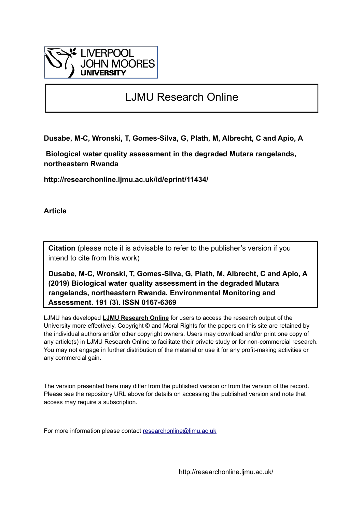

# LJMU Research Online

**Dusabe, M-C, Wronski, T, Gomes-Silva, G, Plath, M, Albrecht, C and Apio, A**

 **Biological water quality assessment in the degraded Mutara rangelands, northeastern Rwanda**

**http://researchonline.ljmu.ac.uk/id/eprint/11434/**

**Article**

**Citation** (please note it is advisable to refer to the publisher's version if you intend to cite from this work)

**Dusabe, M-C, Wronski, T, Gomes-Silva, G, Plath, M, Albrecht, C and Apio, A (2019) Biological water quality assessment in the degraded Mutara rangelands, northeastern Rwanda. Environmental Monitoring and Assessment, 191 (3). ISSN 0167-6369** 

LJMU has developed **[LJMU Research Online](http://researchonline.ljmu.ac.uk/)** for users to access the research output of the University more effectively. Copyright © and Moral Rights for the papers on this site are retained by the individual authors and/or other copyright owners. Users may download and/or print one copy of any article(s) in LJMU Research Online to facilitate their private study or for non-commercial research. You may not engage in further distribution of the material or use it for any profit-making activities or any commercial gain.

The version presented here may differ from the published version or from the version of the record. Please see the repository URL above for details on accessing the published version and note that access may require a subscription.

For more information please contact [researchonline@ljmu.ac.uk](mailto:researchonline@ljmu.ac.uk)

http://researchonline.ljmu.ac.uk/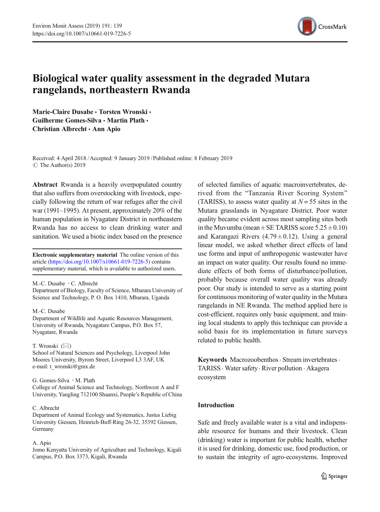

# Biological water quality assessment in the degraded Mutara rangelands, northeastern Rwanda

Marie-Claire Dusabe · Torsten Wronski · Guilherme Gomes-Silva · Martin Plath · Christian Albrecht · Ann Apio

Received: 4 April 2018 /Accepted: 9 January 2019 /Published online: 8 February 2019  $\circ$  The Author(s) 2019

Abstract Rwanda is a heavily overpopulated country that also suffers from overstocking with livestock, especially following the return of war refuges after the civil war (1991–1995). At present, approximately 20% of the human population in Nyagatare District in northeastern Rwanda has no access to clean drinking water and sanitation. We used a biotic index based on the presence

Electronic supplementary material The online version of this article ([https://doi.org/10.1007/s10661-019-7226-5\)](https://doi.org/10.1007/s10661-019-7226-5) contains supplementary material, which is available to authorized users.

M.-C. Dusabe  $\cdot$  C. Albrecht

Department of Biology, Faculty of Science, Mbarara University of Science and Technology, P. O. Box 1410, Mbarara, Uganda

#### M.<C. Dusabe

Department of Wildlife and Aquatic Resources Management, University of Rwanda, Nyagatare Campus, P.O. Box 57, Nyagatare, Rwanda

#### T. Wronski  $(\boxtimes)$

School of Natural Sciences and Psychology, Liverpool John Moores University, Byrom Street, Liverpool L3 3AF, UK e-mail: t\_wronski@gmx.de

#### G. Gomes-Silva : M. Plath

College of Animal Science and Technology, Northwest A and F University, Yangling 712100 Shaanxi, People's Republic of China

#### C. Albrecht

Department of Animal Ecology and Systematics, Justus Liebig University Giessen, Heinrich-Buff-Ring 26-32, 35392 Giessen, Germany

#### A. Apio

Jomo Kenyatta University of Agriculture and Technology, Kigali Campus, P.O. Box 3373, Kigali, Rwanda

of selected families of aquatic macroinvertebrates, derived from the "Tanzania River Scoring System" (TARISS), to assess water quality at  $N = 55$  sites in the Mutara grasslands in Nyagatare District. Poor water quality became evident across most sampling sites both in the Muvumba (mean  $\pm$  SE TARISS score  $5.25 \pm 0.10$ ) and Karangazi Rivers  $(4.79 \pm 0.12)$ . Using a general linear model, we asked whether direct effects of land use forms and input of anthropogenic wastewater have an impact on water quality. Our results found no immediate effects of both forms of disturbance/pollution, probably because overall water quality was already poor. Our study is intended to serve as a starting point for continuous monitoring of water quality in the Mutara rangelands in NE Rwanda. The method applied here is cost-efficient, requires only basic equipment, and training local students to apply this technique can provide a solid basis for its implementation in future surveys related to public health.

Keywords Macrozoobenthos · Stream invertebrates · TARISS . Water safety. River pollution . Akagera ecosystem

# Introduction

Safe and freely available water is a vital and indispensable resource for humans and their livestock. Clean (drinking) water is important for public health, whether it is used for drinking, domestic use, food production, or to sustain the integrity of agro-ecosystems. Improved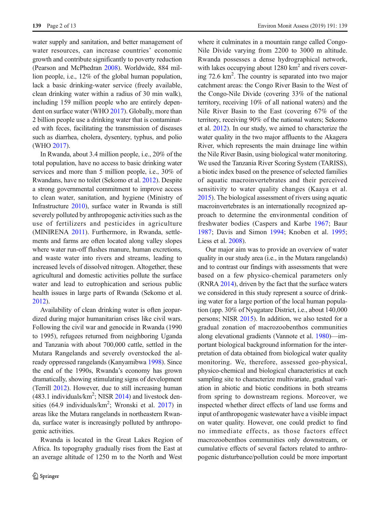water supply and sanitation, and better management of water resources, can increase countries' economic growth and contribute significantly to poverty reduction (Pearson and McPhedran [2008\)](#page-12-0). Worldwide, 884 million people, i.e., 12% of the global human population, lack a basic drinking-water service (freely available, clean drinking water within a radius of 30 min walk), including 159 million people who are entirely depen-dent on surface water (WHO [2017](#page-13-0)). Globally, more than 2 billion people use a drinking water that is contaminated with feces, facilitating the transmission of diseases such as diarrhea, cholera, dysentery, typhus, and polio (WHO [2017\)](#page-13-0).

In Rwanda, about 3.4 million people, i.e., 20% of the total population, have no access to basic drinking water services and more than 5 million people, i.e., 30% of Rwandans, have no toilet (Sekomo et al. [2012\)](#page-13-0). Despite a strong governmental commitment to improve access to clean water, sanitation, and hygiene (Ministry of Infrastructure [2010\)](#page-12-0), surface water in Rwanda is still severely polluted by anthropogenic activities such as the use of fertilizers and pesticides in agriculture (MINIRENA [2011\)](#page-12-0). Furthermore, in Rwanda, settlements and farms are often located along valley slopes where water run-off flushes manure, human excretions, and waste water into rivers and streams, leading to increased levels of dissolved nitrogen. Altogether, these agricultural and domestic activities pollute the surface water and lead to eutrophication and serious public health issues in large parts of Rwanda (Sekomo et al. [2012](#page-13-0)).

Availability of clean drinking water is often jeopardized during major humanitarian crises like civil wars. Following the civil war and genocide in Rwanda (1990 to 1995), refugees returned from neighboring Uganda and Tanzania with about 700,000 cattle, settled in the Mutara Rangelands and severely overstocked the already oppressed rangelands (Kanyamibwa [1998\)](#page-12-0). Since the end of the 1990s, Rwanda's economy has grown dramatically, showing stimulating signs of development (Terrill [2012\)](#page-13-0). However, due to still increasing human  $(483.1 \text{ individuals/km}^2; \text{NISR } 2014)$  $(483.1 \text{ individuals/km}^2; \text{NISR } 2014)$  $(483.1 \text{ individuals/km}^2; \text{NISR } 2014)$  and livestock densities  $(64.9 \text{ individuals/km}^2)$ ; Wronski et al. [2017](#page-13-0)) in areas like the Mutara rangelands in northeastern Rwanda, surface water is increasingly polluted by anthropogenic activities.

Rwanda is located in the Great Lakes Region of Africa. Its topography gradually rises from the East at an average altitude of 1250 m to the North and West where it culminates in a mountain range called Congo-Nile Divide varying from 2200 to 3000 m altitude. Rwanda possesses a dense hydrographical network, with lakes occupying about  $1280 \text{ km}^2$  and rivers covering 72.6 km<sup>2</sup>. The country is separated into two major catchment areas: the Congo River Basin to the West of the Congo-Nile Divide (covering 33% of the national territory, receiving 10% of all national waters) and the Nile River Basin to the East (covering 67% of the territory, receiving 90% of the national waters; Sekomo et al. [2012\)](#page-13-0). In our study, we aimed to characterize the water quality in the two major affluents to the Akagera River, which represents the main drainage line within the Nile River Basin, using biological water monitoring. We used the Tanzania River Scoring System (TARISS), a biotic index based on the presence of selected families of aquatic macroinvertebrates and their perceived sensitivity to water quality changes (Kaaya et al. [2015](#page-12-0)). The biological assessment of rivers using aquatic macroinvertebrates is an internationally recognized approach to determine the environmental condition of freshwater bodies (Caspers and Karbe [1967](#page-11-0); Baur [1987;](#page-11-0) Davis and Simon [1994;](#page-11-0) Knoben et al. [1995;](#page-12-0) Liess et al. [2008\)](#page-12-0).

Our major aim was to provide an overview of water quality in our study area (i.e., in the Mutara rangelands) and to contrast our findings with assessments that were based on a few physico-chemical parameters only (RNRA [2014](#page-12-0)), driven by the fact that the surface waters we considered in this study represent a source of drinking water for a large portion of the local human population (app. 30% of Nyagatare District, i.e., about 140,000 persons; NISR [2015](#page-12-0)). In addition, we also tested for a gradual zonation of macrozoobenthos communities along elevational gradients (Vannote et al. [1980\)](#page-13-0)—important biological background information for the interpretation of data obtained from biological water quality monitoring. We, therefore, assessed geo-physical, physico-chemical and biological characteristics at each sampling site to characterize multivariate, gradual variation in abiotic and biotic conditions in both streams from spring to downstream regions. Moreover, we inspected whether direct effects of land use forms and input of anthropogenic wastewater have a visible impact on water quality. However, one could predict to find no immediate effects, as those factors effect macrozoobenthos communities only downstream, or cumulative effects of several factors related to anthropogenic disturbance/pollution could be more important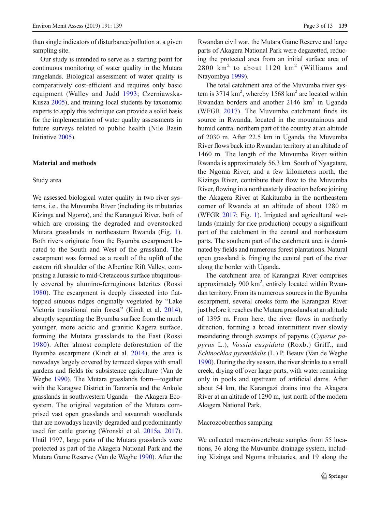than single indicators of disturbance/pollution at a given sampling site.

Our study is intended to serve as a starting point for continuous monitoring of water quality in the Mutara rangelands. Biological assessment of water quality is comparatively cost-efficient and requires only basic equipment (Walley and Judd [1993;](#page-13-0) Czerniawska-Kusza [2005\)](#page-11-0), and training local students by taxonomic experts to apply this technique can provide a solid basis for the implementation of water quality assessments in future surveys related to public health (Nile Basin Initiative [2005](#page-11-0)).

#### Material and methods

# Study area

We assessed biological water quality in two river systems, i.e., the Muvumba River (including its tributaries Kizinga and Ngoma), and the Karangazi River, both of which are crossing the degraded and overstocked Mutara grasslands in northeastern Rwanda (Fig. [1](#page-4-0)). Both rivers originate from the Byumba escarpment located to the South and West of the grassland. The escarpment was formed as a result of the uplift of the eastern rift shoulder of the Albertine Rift Valley, comprising a Jurassic to mid-Cretaceous surface ubiquitously covered by alumino-ferruginous laterites (Rossi [1980\)](#page-12-0). The escarpment is deeply dissected into flattopped sinuous ridges originally vegetated by "Lake Victoria transitional rain forest^ (Kindt et al. [2014](#page-12-0)), abruptly separating the Byumba surface from the much younger, more acidic and granitic Kagera surface, forming the Mutara grasslands to the East (Rossi [1980\)](#page-12-0). After almost complete deforestation of the Byumba escarpment (Kindt et al. [2014\)](#page-12-0), the area is nowadays largely covered by terraced slopes with small gardens and fields for subsistence agriculture (Van de Weghe [1990](#page-13-0)). The Mutara grasslands form—together with the Karagwe District in Tanzania and the Ankole grasslands in southwestern Uganda—the Akagera Ecosystem. The original vegetation of the Mutara comprised vast open grasslands and savannah woodlands that are nowadays heavily degraded and predominantly used for cattle grazing (Wronski et al. [2015a](#page-13-0), [2017\)](#page-13-0). Until 1997, large parts of the Mutara grasslands were protected as part of the Akagera National Park and the Mutara Game Reserve (Van de Weghe [1990](#page-13-0)). After the

Rwandan civil war, the Mutara Game Reserve and large parts of Akagera National Park were degazetted, reducing the protected area from an initial surface area of 2800  $km^2$  to about 1120  $km^2$  (Williams and Ntayombya [1999\)](#page-13-0).

The total catchment area of the Muvumba river system is 3714  $\text{km}^2$ , whereby 1568  $\text{km}^2$  are located within Rwandan borders and another 2146 km<sup>2</sup> in Uganda (WFGR [2017\)](#page-13-0). The Muvumba catchment finds its source in Rwanda, located in the mountainous and humid central northern part of the country at an altitude of 2030 m. After 22.5 km in Uganda, the Muvumba River flows back into Rwandan territory at an altitude of 1460 m. The length of the Muvumba River within Rwanda is approximately 56.3 km. South of Nyagatare, the Ngoma River, and a few kilometers north, the Kizinga River, contribute their flow to the Muvumba River, flowing in a northeasterly direction before joining the Akagera River at Kakitumba in the northeastern corner of Rwanda at an altitude of about 1280 m (WFGR [2017;](#page-13-0) Fig. [1\)](#page-4-0). Irrigated and agricultural wetlands (mainly for rice production) occupy a significant part of the catchment in the central and northeastern parts. The southern part of the catchment area is dominated by fields and numerous forest plantations. Natural open grassland is fringing the central part of the river along the border with Uganda.

The catchment area of Karangazi River comprises approximately 900 km<sup>2</sup>, entirely located within Rwandan territory. From its numerous sources in the Byumba escarpment, several creeks form the Karangazi River just before it reaches the Mutara grasslands at an altitude of 1395 m. From here, the river flows in northerly direction, forming a broad intermittent river slowly meandering through swamps of papyrus (Cyperus papyrus L.), Vossia cuspidata (Roxb.) Griff., and Echinochloa pyramidalis (L.) P. Beauv (Van de Weghe [1990](#page-13-0)). During the dry season, the river shrinks to a small creek, drying off over large parts, with water remaining only in pools and upstream of artificial dams. After about 54 km, the Karangazi drains into the Akagera River at an altitude of 1290 m, just north of the modern Akagera National Park.

#### Macrozoobenthos sampling

We collected macroinvertebrate samples from 55 locations, 36 along the Muvumba drainage system, including Kizinga and Ngoma tributaries, and 19 along the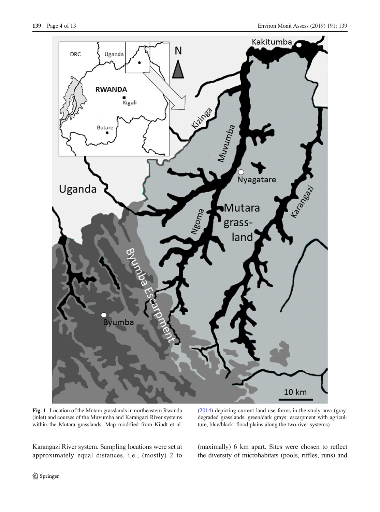<span id="page-4-0"></span>

Fig. 1 Location of the Mutara grasslands in northeastern Rwanda (inlet) and courses of the Muvumba and Karangazi River systems within the Mutara grasslands. Map modified from Kindt et al.

[\(2014](#page-12-0)) depicting current land use forms in the study area (gray: degraded grasslands, green/dark grays: escarpment with agriculture, blue/black: flood plains along the two river systems)

Karangazi River system. Sampling locations were set at approximately equal distances, i.e., (mostly) 2 to

(maximally) 6 km apart. Sites were chosen to reflect the diversity of microhabitats (pools, riffles, runs) and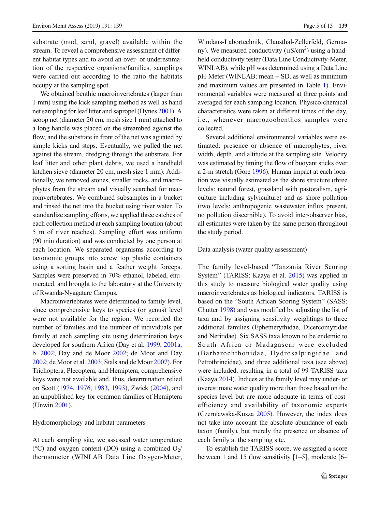substrate (mud, sand, gravel) available within the stream. To reveal a comprehensive assessment of different habitat types and to avoid an over- or underestimation of the respective organisms/families, samplings were carried out according to the ratio the habitats occupy at the sampling spot.

We obtained benthic macroinvertebrates (larger than 1 mm) using the kick sampling method as well as hand net sampling for leaf litter and sapropel (Hynes [2001\)](#page-11-0). A scoop net (diameter 20 cm, mesh size 1 mm) attached to a long handle was placed on the streambed against the flow, and the substrate in front of the net was agitated by simple kicks and steps. Eventually, we pulled the net against the stream, dredging through the substrate. For leaf litter and other plant debris, we used a handheld kitchen sieve (diameter 20 cm, mesh size 1 mm). Additionally, we removed stones, smaller rocks, and macrophytes from the stream and visually searched for macroinvertebrates. We combined subsamples in a bucket and rinsed the net into the bucket using river water. To standardize sampling efforts, we applied three catches of each collection method at each sampling location (about 5 m of river reaches). Sampling effort was uniform (90 min duration) and was conducted by one person at each location. We separated organisms according to taxonomic groups into screw top plastic containers using a sorting basin and a feather weight forceps. Samples were preserved in 70% ethanol, labeled, enumerated, and brought to the laboratory at the University of Rwanda-Nyagatare Campus.

Macroinvertebrates were determined to family level, since comprehensive keys to species (or genus) level were not available for the region. We recorded the number of families and the number of individuals per family at each sampling site using determination keys developed for southern Africa (Day et al. [1999,](#page-11-0) [2001a,](#page-11-0) [b,](#page-11-0) [2002;](#page-11-0) Day and de Moor [2002;](#page-11-0) de Moor and Day [2002](#page-12-0); de Moor et al. [2003](#page-12-0); Stals and de Moor [2007](#page-13-0)). For Trichoptera, Plecoptera, and Hemiptera, comprehensive keys were not available and, thus, determination relied on Scott ([1974](#page-12-0), [1976](#page-12-0), [1983](#page-12-0), [1993](#page-13-0)), Zwick ([2004](#page-13-0)), and an unpublished key for common families of Hemiptera (Unwin [2001\)](#page-13-0).

### Hydromorphology and habitat parameters

At each sampling site, we assessed water temperature ( $^{\circ}$ C) and oxygen content (DO) using a combined O<sub>2</sub>/ thermometer (WINLAB Data Line Oxygen-Meter,

Windaus-Labortechnik, Clausthal-Zellerfeld, Germany). We measured conductivity  $(\mu S/cm^2)$  using a handheld conductivity tester (Data Line Conductivity-Meter, WINLAB), while pH was determined using a Data Line  $pH-Meter$  (WINLAB; mean  $\pm$  SD, as well as minimum and maximum values are presented in Table [1\)](#page-6-0). Environmental variables were measured at three points and averaged for each sampling location. Physico-chemical characteristics were taken at different times of the day, i.e., whenever macrozoobenthos samples were collected.

Several additional environmental variables were estimated: presence or absence of macrophytes, river width, depth, and altitude at the sampling site. Velocity was estimated by timing the flow of buoyant sticks over a 2-m stretch (Gore [1996\)](#page-11-0). Human impact at each location was visually estimated as the shore structure (three levels: natural forest, grassland with pastoralism, agriculture including sylviculture) and as shore pollution (two levels: anthropogenic wastewater influx present, no pollution discernible). To avoid inter-observer bias, all estimates were taken by the same person throughout the study period.

#### Data analysis (water quality assessment)

The family level-based "Tanzania River Scoring System" (TARISS; Kaaya et al. [2015](#page-12-0)) was applied in this study to measure biological water quality using macroinvertebrates as biological indicators. TARISS is based on the "South African Scoring System" (SASS; Chutter [1998\)](#page-11-0) and was modified by adjusting the list of taxa and by assigning sensitivity weightings to three additional families (Ephemerythidae, Dicercomyzidae and Neritidae). Six SASS taxa known to be endemic to South Africa or Madagascar were excluded (Barbarochthonidae, Hydrosalpingidae, and Petrothrincidae), and three additional taxa (see above) were included, resulting in a total of 99 TARISS taxa (Kaaya [2014\)](#page-12-0). Indices at the family level may under- or overestimate water quality more than those based on the species level but are more adequate in terms of costefficiency and availability of taxonomic experts (Czerniawska-Kusza [2005](#page-11-0)). However, the index does not take into account the absolute abundance of each taxon (family), but merely the presence or absence of each family at the sampling site.

To establish the TARISS score, we assigned a score between 1 and 15 (low sensitivity [1–5], moderate [6–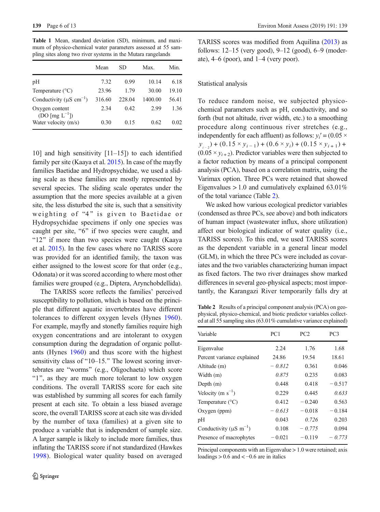<span id="page-6-0"></span>Table 1 Mean, standard deviation (SD), minimum, and maximum of physico-chemical water parameters assessed at 55 sampling sites along two river systems in the Mutara rangelands

|                                           | Mean   | SD.    | Max.    | Min.  |
|-------------------------------------------|--------|--------|---------|-------|
| pH                                        | 7.32   | 0.99   | 10.14   | 6.18  |
| Temperature $(^{\circ}C)$                 | 23.96  | 1.79   | 30.00   | 19.10 |
| Conductivity ( $\mu$ S cm <sup>-1</sup> ) | 316.60 | 228.04 | 1400.00 | 56.41 |
| Oxygen content<br>$(DO [mg L-1])$         | 2.34   | 0.42   | 2.99    | 1.36  |
| Water velocity (m/s)                      | 0.30   | 0.15   | 0.62    | 0.02  |

10] and high sensitivity [11–15]) to each identified family per site (Kaaya et al. [2015\)](#page-12-0). In case of the mayfly families Baetidae and Hydropsychidae, we used a sliding scale as these families are mostly represented by several species. The sliding scale operates under the assumption that the more species available at a given site, the less disturbed the site is, such that a sensitivity weighting of "4" is given to Baetidae or Hydropsychidae specimens if only one species was caught per site, "6" if two species were caught, and " $12$ " if more than two species were caught (Kaaya et al. [2015](#page-12-0)). In the few cases where no TARISS score was provided for an identified family, the taxon was either assigned to the lowest score for that order (e.g., Odonata) or it was scored according to where most other families were grouped (e.g., Diptera, Arynchobdellida).

The TARISS score reflects the families' perceived susceptibility to pollution, which is based on the principle that different aquatic invertebrates have different tolerances to different oxygen levels (Hynes [1960](#page-11-0)). For example, mayfly and stonefly families require high oxygen concentrations and are intolerant to oxygen consumption during the degradation of organic pollutants (Hynes [1960\)](#page-11-0) and thus score with the highest sensitivity class of " $10-15$ ." The lowest scoring invertebrates are "worms" (e.g., Oligochaeta) which score "1", as they are much more tolerant to low oxygen conditions. The overall TARISS score for each site was established by summing all scores for each family present at each site. To obtain a less biased average score, the overall TARISS score at each site was divided by the number of taxa (families) at a given site to produce a variable that is independent of sample size. A larger sample is likely to include more families, thus inflating the TARISS score if not standardized (Hawkes [1998](#page-11-0)). Biological water quality based on averaged TARISS scores was modified from Aquilina [\(2013\)](#page-11-0) as follows: 12–15 (very good), 9–12 (good), 6–9 (moderate), 4–6 (poor), and 1–4 (very poor).

#### Statistical analysis

To reduce random noise, we subjected physicochemical parameters such as pH, conductivity, and so forth (but not altitude, river width, etc.) to a smoothing procedure along continuous river stretches (e.g., independently for each affluent) as follows:  $y_i' = (0.05 \times$  $y_{i-2}$ ) + (0.15 ×  $y_{i-1}$ ) + (0.6 ×  $y_i$ ) + (0.15 ×  $y_{i+1}$ ) +  $(0.05 \times y_{i+2})$ . Predictor variables were then subjected to a factor reduction by means of a principal component analysis (PCA), based on a correlation matrix, using the Varimax option. Three PCs were retained that showed Eigenvalues  $> 1.0$  and cumulatively explained 63.01% of the total variance (Table 2).

We asked how various ecological predictor variables (condensed as three PCs, see above) and both indicators of human impact (wastewater influx, shore utilization) affect our biological indicator of water quality (i.e., TARISS scores). To this end, we used TARISS scores as the dependent variable in a general linear model (GLM), in which the three PCs were included as covariates and the two variables characterizing human impact as fixed factors. The two river drainages show marked differences in several geo-physical aspects; most importantly, the Karangazi River temporarily falls dry at

Table 2 Results of a principal component analysis (PCA) on geophysical, physico-chemical, and biotic predictor variables collected at all 55 sampling sites (63.01% cumulative variance explained)

| Variable                                 | PC1      | PC <sub>2</sub> | PC <sub>3</sub> |
|------------------------------------------|----------|-----------------|-----------------|
| Eigenvalue                               | 2.24     | 1.76            | 1.68            |
| Percent variance explained               | 24.86    | 19.54           | 18.61           |
| Altitude (m)                             | $-0.812$ | 0.361           | 0.046           |
| Width (m)                                | 0.875    | 0.235           | 0.083           |
| Depth $(m)$                              | 0.448    | 0.418           | $-0.517$        |
| Velocity (m $s^{-1}$ )                   | 0.229    | 0.445           | 0.633           |
| Temperature $(^{\circ}C)$                | 0.412    | $-0.240$        | 0.563           |
| $Oxygen$ (ppm)                           | $-0.613$ | $-0.018$        | $-0.184$        |
| pH                                       | 0.043    | 0.726           | 0.203           |
| Conductivity ( $\mu$ S m <sup>-1</sup> ) | 0.108    | $-0.775$        | 0.094           |
| Presence of macrophytes                  | $-0.021$ | $-0.119$        | $-0.773$        |

Principal components with an Eigenvalue > 1.0 were retained; axis loadings  $> 0.6$  and  $< -0.6$  are in italics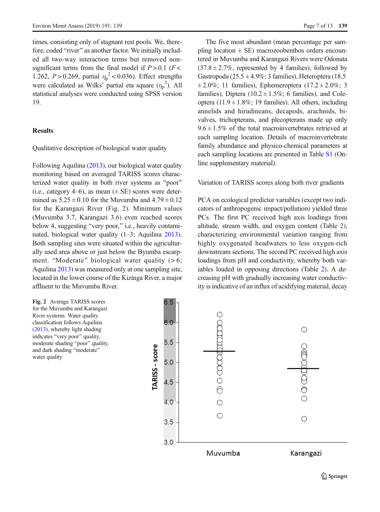<span id="page-7-0"></span>times, consisting only of stagnant rest pools. We, therefore, coded "river" as another factor. We initially included all two-way interaction terms but removed nonsignificant terms from the final model if  $P > 0.1$  ( $F <$ 1.262, *P* > 0.269, partial  $\eta_p^2$  < 0.036). Effect strengths were calculated as Wilks' partial eta square  $(\eta_p^2)$ . All statistical analyses were conducted using SPSS version 19.

# **Results**

Qualitative description of biological water quality

Following Aquilina [\(2013\)](#page-11-0), our biological water quality monitoring based on averaged TARISS scores characterized water quality in both river systems as "poor" (i.e., category 4–6), as mean  $(\pm \text{ SE})$  scores were determined as  $5.25 \pm 0.10$  for the Muvumba and  $4.79 \pm 0.12$ for the Karangazi River (Fig. 2). Minimum values (Muvumba 3.7, Karangazi 3.6) even reached scores below 4, suggesting "very poor," i.e., heavily contaminated, biological water quality (1–3; Aquilina [2013\)](#page-11-0). Both sampling sites were situated within the agriculturally used area above or just below the Byumba escarpment. "Moderate" biological water quality  $(> 6;$ Aquilina [2013](#page-11-0)) was measured only at one sampling site, located in the lower course of the Kizinga River, a major affluent to the Muvumba River.

Fig. 2 Average TARISS scores for the Muvumba and Karangazi River systems. Water quality classification follows Aquilina [\(2013\)](#page-11-0), whereby light shading indicates "very poor" quality, moderate shading "poor" quality, and dark shading "moderate" water quality

The five most abundant (mean percentage per sampling location  $\pm$  SE) macrozoobenthos orders encountered in Muvumba and Karangazi Rivers were Odonata  $(37.8 \pm 2.7\%)$ , represented by 4 families), followed by Gastropoda (25.5  $\pm$  4.9%; 3 families), Heteroptera (18.5  $\pm 2.0\%$ ; 11 families), Ephemeroptera (17.2  $\pm 2.0\%$ ; 3 families), Diptera (10.2  $\pm$  1.5%; 6 families), and Coleoptera (11.9  $\pm$  1.8%; 19 families). All others, including annelids and hirudineans, decapods, arachnids, bivalves, trichopterans, and plecopterans made up only  $9.6 \pm 1.5\%$  of the total macroinvertebrates retrieved at each sampling location. Details of macroinvertebrate family abundance and physico-chemical parameters at each sampling locations are presented in Table S1 (Online supplementary material).

#### Variation of TARISS scores along both river gradients

PCA on ecological predictor variables (except two indicators of anthropogenic impact/pollution) yielded three PCs. The first PC received high axis loadings from altitude, stream width, and oxygen content (Table [2\)](#page-6-0), characterizing environmental variation ranging from highly oxygenated headwaters to less oxygen-rich downstream sections. The second PC received high axis loadings from pH and conductivity, whereby both variables loaded in opposing directions (Table [2](#page-6-0)). A decreasing pH with gradually increasing water conductivity is indicative of an influx of acidifying material, decay

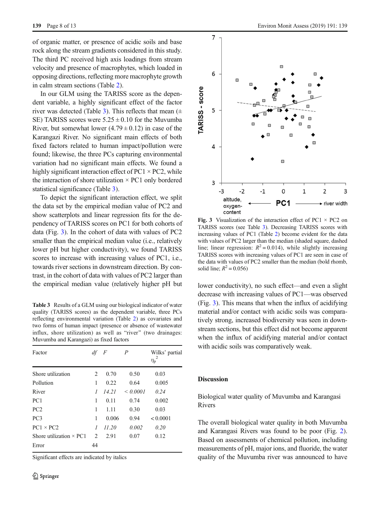<span id="page-8-0"></span>of organic matter, or presence of acidic soils and base rock along the stream gradients considered in this study. The third PC received high axis loadings from stream velocity and presence of macrophytes, which loaded in opposing directions, reflecting more macrophyte growth in calm stream sections (Table [2](#page-6-0)).

In our GLM using the TARISS score as the dependent variable, a highly significant effect of the factor river was detected (Table 3). This reflects that mean  $(±$ SE) TARISS scores were  $5.25 \pm 0.10$  for the Muvumba River, but somewhat lower  $(4.79 \pm 0.12)$  in case of the Karangazi River. No significant main effects of both fixed factors related to human impact/pollution were found; likewise, the three PCs capturing environmental variation had no significant main effects. We found a highly significant interaction effect of PC1  $\times$  PC2, while the interaction of shore utilization  $\times$  PC1 only bordered statistical significance (Table 3).

To depict the significant interaction effect, we split the data set by the empirical median value of PC2 and show scatterplots and linear regression fits for the dependency of TARISS scores on PC1 for both cohorts of data (Fig. 3). In the cohort of data with values of PC2 smaller than the empirical median value (i.e., relatively lower pH but higher conductivity), we found TARISS scores to increase with increasing values of PC1, i.e., towards river sections in downstream direction. By contrast, in the cohort of data with values of PC2 larger than the empirical median value (relatively higher pH but lower conductivity), no such effect—and even a slight

Table 3 Results of a GLM using our biological indicator of water quality (TARISS scores) as the dependent variable, three PCs reflecting environmental variation (Table [2\)](#page-6-0) as covariates and two forms of human impact (presence or absence of wastewater influx, shore utilization) as well as "river" (two drainages: Muvumba and Karangazi) as fixed factors

| Factor                         | df             | F     | $\overline{P}$ | Wilks' partial<br>$\eta_\mathrm{p}$ |
|--------------------------------|----------------|-------|----------------|-------------------------------------|
| Shore utilization              | 2              | 0.70  | 0.50           | 0.03                                |
| Pollution                      | 1              | 0.22  | 0.64           | 0.005                               |
| River                          | 1              | 14.21 | $\leq 0.0001$  | 0.24                                |
| PC1                            | 1              | 0.11  | 0.74           | 0.002                               |
| PC <sub>2</sub>                | 1              | 1.11  | 0.30           | 0.03                                |
| PC <sub>3</sub>                | 1              | 0.006 | 0.94           | < 0.0001                            |
| $PC1 \times PC2$               | 1              | 11.20 | 0.002          | 0.20                                |
| Shore utilization $\times$ PC1 | $\mathfrak{D}$ | 2.91  | 0.07           | 0.12                                |
| Error                          | 44             |       |                |                                     |

Significant effects are indicated by italics



Fig. 3 Visualization of the interaction effect of PC1  $\times$  PC2 on TARISS scores (see Table 3). Decreasing TARISS scores with increasing values of PC1 (Table [2](#page-6-0)) become evident for the data with values of PC2 larger than the median (shaded square, dashed line; linear regression:  $R^2 = 0.014$ ), while slightly increasing TARISS scores with increasing values of PC1 are seen in case of the data with values of PC2 smaller than the median (bold rhomb, solid line;  $R^2 = 0.056$ )

decrease with increasing values of PC1—was observed (Fig. 3). This means that when the influx of acidifying material and/or contact with acidic soils was comparatively strong, increased biodiversity was seen in downstream sections, but this effect did not become apparent when the influx of acidifying material and/or contact with acidic soils was comparatively weak.

# Discussion

Biological water quality of Muvumba and Karangasi Rivers

The overall biological water quality in both Muvumba and Karangasi Rivers was found to be poor (Fig. [2\)](#page-7-0). Based on assessments of chemical pollution, including measurements of pH, major ions, and fluoride, the water quality of the Muvumba river was announced to have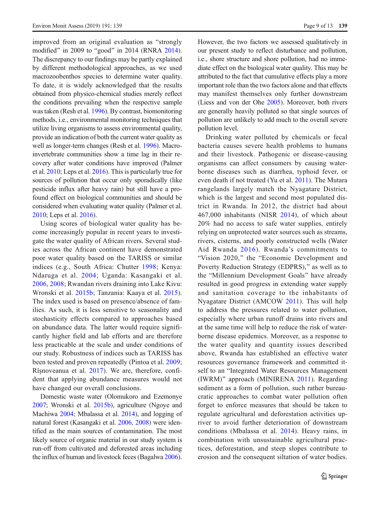improved from an original evaluation as "strongly modified" in 2009 to "good" in 2014 (RNRA [2014\)](#page-12-0). The discrepancy to our findings may be partly explained by different methodological approaches, as we used macrozoobenthos species to determine water quality. To date, it is widely acknowledged that the results obtained from physico-chemical studies merely reflect the conditions prevailing when the respective sample was taken (Resh et al. [1996](#page-12-0)). By contrast, biomonitoring methods, i.e., environmental monitoring techniques that utilize living organisms to assess environmental quality, provide an indication of both the current water quality as well as longer-term changes (Resh et al. [1996](#page-12-0)). Macroinvertebrate communities show a time lag in their recovery after water conditions have improved (Palmer et al. [2010;](#page-12-0) Leps et al. [2016](#page-12-0)). This is particularly true for sources of pollution that occur only sporadically (like pesticide influx after heavy rain) but still have a profound effect on biological communities and should be considered when evaluating water quality (Palmer et al. [2010](#page-12-0); Leps et al. [2016](#page-12-0)).

Using scores of biological water quality has become increasingly popular in recent years to investigate the water quality of African rivers. Several studies across the African continent have demonstrated poor water quality based on the TARISS or similar indices (e.g., South Africa: Chutter [1998](#page-11-0); Kenya: Ndaruga et al. [2004;](#page-12-0) Uganda: Kasangaki et al. [2006](#page-12-0), [2008](#page-12-0); Rwandan rivers draining into Lake Kivu: Wronski et al. [2015b](#page-13-0); Tanzania: Kaaya et al. [2015](#page-12-0)). The index used is based on presence/absence of families. As such, it is less sensitive to seasonality and stochasticity effects compared to approaches based on abundance data. The latter would require significantly higher field and lab efforts and are therefore less practicable at the scale and under conditions of our study. Robustness of indices such as TARISS has been tested and proven repeatedly (Pintoa et al. [2009](#page-12-0); Rîşnoveanua et al. [2017\)](#page-12-0). We are, therefore, confident that applying abundance measures would not have changed our overall conclusions.

Domestic waste water (Olomukoro and Ezemonye [2007](#page-12-0); Wronski et al. [2015b](#page-13-0)), agriculture (Ngoye and Machiwa [2004;](#page-12-0) Mbalassa et al. [2014\)](#page-12-0), and logging of natural forest (Kasangaki et al. [2006,](#page-12-0) [2008\)](#page-12-0) were identified as the main sources of contamination. The most likely source of organic material in our study system is run-off from cultivated and deforested areas including the influx of human and livestock feces (Bagalwa [2006\)](#page-11-0).

However, the two factors we assessed qualitatively in our present study to reflect disturbance and pollution, i.e., shore structure and shore pollution, had no immediate effect on the biological water quality. This may be attributed to the fact that cumulative effects play a more important role than the two factors alone and that effects may manifest themselves only further downstream (Liess and von der Ohe [2005](#page-12-0)). Moreover, both rivers are generally heavily polluted so that single sources of pollution are unlikely to add much to the overall severe pollution level.

Drinking water polluted by chemicals or fecal bacteria causes severe health problems to humans and their livestock. Pathogenic or disease-causing organisms can affect consumers by causing waterborne diseases such as diarrhea, typhoid fever, or even death if not treated (Yu et al. [2011\)](#page-13-0). The Mutara rangelands largely match the Nyagatare District, which is the largest and second most populated district in Rwanda. In 2012, the district had about 467,000 inhabitants (NISR [2014](#page-12-0)), of which about 20% had no access to safe water supplies, entirely relying on unprotected water sources such as streams, rivers, cisterns, and poorly constructed wells (Water Aid Rwanda [2016\)](#page-13-0). Rwanda's commitments to "Vision 2020," the "Economic Development and Poverty Reduction Strategy (EDPRS)," as well as to the "Millennium Development Goals" have already resulted in good progress in extending water supply and sanitation coverage to the inhabitants of Nyagatare District (AMCOW [2011](#page-11-0)). This will help to address the pressures related to water pollution, especially where urban runoff drains into rivers and at the same time will help to reduce the risk of waterborne disease epidemics. Moreover, as a response to the water quality and quantity issues described above, Rwanda has established an effective water resources governance framework and committed itself to an "Integrated Water Resources Management (IWRM)" approach (MINIRENA [2011](#page-12-0)). Regarding sediment as a form of pollution, such rather bureaucratic approaches to combat water pollution often forget to enforce measures that should be taken to regulate agricultural and deforestation activities upriver to avoid further deterioration of downstream conditions (Mbalassa et al. [2014](#page-12-0)). Heavy rains, in combination with unsustainable agricultural practices, deforestation, and steep slopes contribute to erosion and the consequent siltation of water bodies.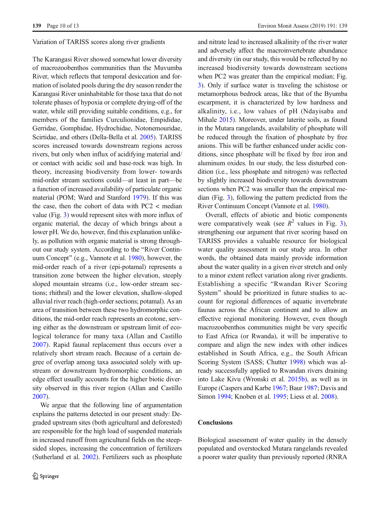#### Variation of TARISS scores along river gradients

The Karangasi River showed somewhat lower diversity of macrozoobenthos communities than the Muvumba River, which reflects that temporal desiccation and formation of isolated pools during the dry season render the Karangasi River uninhabitable for those taxa that do not tolerate phases of hypoxia or complete drying-off of the water, while still providing suitable conditions, e.g., for members of the families Curculionidae, Empididae, Gerridae, Gomphidae, Hydrochidae, Notonemouridae, Scirtidae, and others (Della-Bella et al. [2005\)](#page-11-0). TARISS scores increased towards downstream regions across rivers, but only when influx of acidifying material and/ or contact with acidic soil and base-rock was high. In theory, increasing biodiversity from lower- towards mid-order stream sections could—at least in part—be a function of increased availability of particulate organic material (POM; Ward and Stanford [1979\)](#page-13-0). If this was the case, then the cohort of data with PC2 < median value (Fig. [3](#page-8-0)) would represent sites with more influx of organic material, the decay of which brings about a lower pH. We do, however, find this explanation unlikely, as pollution with organic material is strong throughout our study system. According to the "River Continuum Concept^ (e.g., Vannote et al. [1980](#page-13-0)), however, the mid-order reach of a river (epi-potamal) represents a transition zone between the higher elevation, steeply sloped mountain streams (i.e., low-order stream sections; rhithral) and the lower elevation, shallow-sloped alluvial river reach (high-order sections; potamal). As an area of transition between these two hydromorphic conditions, the mid-order reach represents an ecotone, serving either as the downstream or upstream limit of ecological tolerance for many taxa (Allan and Castillo [2007\)](#page-11-0). Rapid faunal replacement thus occurs over a relatively short stream reach. Because of a certain degree of overlap among taxa associated solely with upstream or downstream hydromorphic conditions, an edge effect usually accounts for the higher biotic diversity observed in this river region (Allan and Castillo [2007](#page-11-0)).

We argue that the following line of argumentation explains the patterns detected in our present study: Degraded upstream sites (both agricultural and deforested) are responsible for the high load of suspended materials in increased runoff from agricultural fields on the steepsided slopes, increasing the concentration of fertilizers (Sutherland et al. [2002](#page-13-0)). Fertilizers such as phosphate and nitrate lead to increased alkalinity of the river water and adversely affect the macroinvertebrate abundance and diversity (in our study, this would be reflected by no increased biodiversity towards downstream sections when PC2 was greater than the empirical median; Fig. [3\)](#page-8-0). Only if surface water is traveling the schistose or metamorphous bedrock areas, like that of the Byumba escarpment, it is characterized by low hardness and alkalinity, i.e., low values of pH (Ndayisaba and Mihale [2015](#page-12-0)). Moreover, under laterite soils, as found in the Mutara rangelands, availability of phosphate will be reduced through the fixation of phosphate by free anions. This will be further enhanced under acidic conditions, since phosphate will be fixed by free iron and aluminum oxides. In our study, the less disturbed condition (i.e., less phosphate and nitrogen) was reflected by slightly increased biodiversity towards downstream sections when PC2 was smaller than the empirical median (Fig. [3\)](#page-8-0), following the pattern predicted from the River Continuum Concept (Vannote et al. [1980](#page-13-0)).

Overall, effects of abiotic and biotic components were comparatively weak (see  $R^2$  values in Fig. [3\)](#page-8-0), strengthening our argument that river scoring based on TARISS provides a valuable resource for biological water quality assessment in our study area. In other words, the obtained data mainly provide information about the water quality in a given river stretch and only to a minor extent reflect variation along river gradients. Establishing a specific "Rwandan River Scoring System" should be prioritized in future studies to account for regional differences of aquatic invertebrate faunas across the African continent and to allow an effective regional monitoring. However, even though macrozoobenthos communities might be very specific to East Africa (or Rwanda), it will be imperative to compare and align the new index with other indices established in South Africa, e.g., the South African Scoring System (SASS; Chutter [1998\)](#page-11-0) which was already successfully applied to Rwandan rivers draining into Lake Kivu (Wronski et al. [2015b\)](#page-13-0), as well as in Europe (Caspers and Karbe [1967;](#page-11-0) Baur [1987;](#page-11-0) Davis and Simon [1994;](#page-11-0) Knoben et al. [1995](#page-12-0); Liess et al. [2008\)](#page-12-0).

# **Conclusions**

Biological assessment of water quality in the densely populated and overstocked Mutara rangelands revealed a poorer water quality than previously reported (RNRA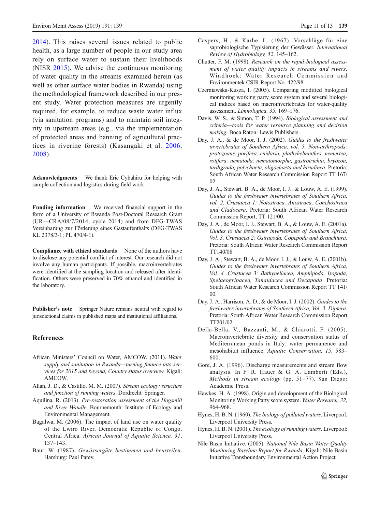<span id="page-11-0"></span>[2014\)](#page-12-0). This raises several issues related to public health, as a large number of people in our study area rely on surface water to sustain their livelihoods (NISR [2015](#page-12-0)). We advise the continuous monitoring of water quality in the streams examined herein (as well as other surface water bodies in Rwanda) using the methodological framework described in our present study. Water protection measures are urgently required, for example, to reduce waste water influx (via sanitation programs) and to maintain soil integrity in upstream areas (e.g., via the implementation of protected areas and banning of agricultural practices in riverine forests) (Kasangaki et al. [2006,](#page-12-0) [2008](#page-12-0)).

Acknowledgments We thank Eric Cybahiru for helping with sample collection and logistics during field work.

Funding information We received financial support in the form of a University of Rwanda Post-Doctoral Research Grant (UR—CRA/08/7/2014, cycle 2014) and from DFG-TWAS Vereinbarung zur Förderung eines Gastaufenthalts (DFG-TWAS KL 2378/3-1; PL 470/4-1).

Compliance with ethical standards None of the authors have to disclose any potential conflict of interest. Our research did not involve any human participants. If possible, macroinvertebrates were identified at the sampling location and released after identification. Others were preserved in 70% ethanol and identified in the laboratory.

Publisher's note Springer Nature remains neutral with regard to jurisdictional claims in published maps and institutional affiliations.

#### References

- African Ministers' Council on Water, AMCOW. (2011). Water supply and sanitation in Rwanda—turning finance into services for 2015 and beyond, Country status overview. Kigali: AMCOW.
- Allan, J. D., & Castillo, M. M. (2007). Stream ecology: structure and function of running waters. Dordrecht: Springer.
- Aquilina, R. (2013). Pre-restoration assessment of the Hogsmill and River Wandle. Bournemouth: Institute of Ecology and Environmental Management.
- Bagalwa, M. (2006). The impact of land use on water quality of the Lwiro River, Democratic Republic of Congo, Central Africa. African Journal of Aquatic Science, 31, 137–143.
- Baur, W. (1987). Gewässergüte bestimmen und beurteilen. Hamburg: Paul Parey.
- Caspers, H., & Karbe, L. (1967). Vorschläge für eine saprobiologische Typisierung der Gewässer. International Review of Hydrobiology, 52, 145–162.
- Chutter, F. M. (1998). Research on the rapid biological assessment of water quality impacts in streams and rivers. Windhoek: Water Research Commission and Environmentek CSIR Report No. 422/98.
- Czerniawska-Kusza, I. (2005). Comparing modified biological monitoring working party score system and several biological indices based on macroinvertebrates for water-quality assessment. Limnologica, 35, 169–176.
- Davis, W. S., & Simon, T. P. (1994). Biological assessment and criteria—tools for water resource planning and decision making. Boca Raton: Lewis Publishers.
- Day, J. A., & de Moor, I. J. (2002). Guides to the freshwater invertebrates of Southern Africa, vol. 5. Non-arthropods: protozoans, porifera, cnidaria, plathyhelminthes, nemertea, rotifera, nematoda, nematomorpha, gastrotrichia, bryozoa, tardigrada, polychaeta, oligochaeta and hirudinea. Pretoria: South African Water Research Commission Report TT 167/ 02.
- Day, J. A., Stewart, B. A., de Moor, I. J., & Louw, A. E. (1999). Guides to the freshwater invertebrates of Southern Africa, vol. 2. Crustacea 1: Notostraca, Anostraca, Conchostraca and Cladocera. Pretoria: South African Water Research Commission Report, TT 121/00.
- Day, J. A., de Moor, I. J., Stewart, B. A., & Louw, A. E. (2001a). Guides to the freshwater invertebrates of Southern Africa, Vol. 3. Crustacea 2: Ostracoda, Copepoda and Branchiura. Pretoria: South African Water Research Commission Report TT140/08.
- Day, J. A., Stewart, B. A., de Moor, I. J., & Louw, A. E. (2001b). Guides to the freshwater invertebrates of Southern Africa, Vol. 4. Crustacea 3: Bathynellacea, Amphipoda, Isopoda, Spelaeogripacea, Tanaidacea and Decapoda. Pretoria: South African Water Research Commission Report TT 141/ 00.
- Day, J. A., Harrison, A. D., & de Moor, I. J. (2002). Guides to the freshwater invertebrates of Southern Africa, Vol. 3. Diptera. Pretoria: South African Water Research Commission Report TT201/02.
- Della-Bella, V., Bazzanti, M., & Chiarotti, F. (2005). Macroinvertebrate diversity and conservation status of Mediterranean ponds in Italy: water permanence and mesohabitat influence. Aquatic Conservation, 15, 583– 600.
- Gore, J. A. (1996). Discharge measurements and stream flow analysis. In F. R. Hauer & G. A. Lamberti (Eds.), Methods in stream ecology (pp. 51–77). San Diego: Academic Press.
- Hawkes, H. A. (1998). Origin and development of the Biological Monitoring Working Party score system. Water Research, 32, 964–968.
- Hynes, H. B. N. (1960). The biology of polluted waters. Liverpool: Liverpool University Press.
- Hynes, H. B. N. (2001). The ecology of running waters. Liverpool: Liverpool University Press.
- Nile Basin Initiative. (2005). National Nile Basin Water Quality Monitoring Baseline Report for Rwanda. Kigali: Nile Basin Initiative Transboundary Environmental Action Project.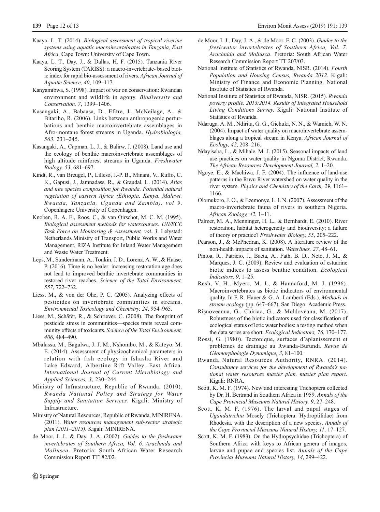- <span id="page-12-0"></span>Kaaya, L. T. (2014). Biological assessment of tropical riverine systems using aquatic macroinvertebrates in Tanzania, East Africa. Cape Town: University of Cape Town.
- Kaaya, L. T., Day, J., & Dallas, H. F. (2015). Tanzania River Scoring System (TARISS): a macro-invertebrate- based biotic index for rapid bio-assessment of rivers. African Journal of Aquatic Science, 40, 109–117.
- Kanyamibwa, S. (1998). Impact of war on conservation: Rwandan environment and wildlife in agony. Biodiversity and Conservation, 7, 1399–1406.
- Kasangaki, A., Babaasa, D., Efitre, J., McNeilage, A., & Bitariho, R. (2006). Links between anthropogenic perturbations and benthic macroinvertebrate assemblages in Afro-montane forest streams in Uganda. Hydrobiologia, 563, 231–245.
- Kasangaki, A., Capman, L. J., & Balirw, J. (2008). Land use and the ecology of benthic macroinvertebrate assemblages of high altitude rainforest streams in Uganda. Freshwater Biology, 53, 681–697.
- Kindt, R., van Breugel, P., Lillesø, J.-P. B., Minani, V., Ruffo, C. K., Gapusi, J., Jamnadass, R., & Graudal, L. (2014). Atlas and tree species composition for Rwanda. Potential natural vegetation of eastern Africa (Ethiopia, Kenya, Malawi, Rwanda, Tanzania, Uganda and Zambia), vol 9. Copenhagen: University of Copenhagen.
- Knoben, R. A. E., Roos, C., & van Oirschot, M. C. M. (1995). Biological assessment methods for watercourses. UN/ECE Task Force on Monitoring & Assessment, vol. 3. Lelystad: Netherlands Ministry of Transport, Public Works and Water Management, RIZA Institute for Inland Water Management and Waste Water Treatment.
- Leps, M., Sundermann, A., Tonkin, J. D., Lorenz, A. W., & Haase, P. (2016). Time is no healer: increasing restoration age does not lead to improved benthic invertebrate communities in restored river reaches. Science of the Total Environment, 557, 722–732.
- Liess, M., & von der Ohe, P. C. (2005). Analyzing effects of pesticides on invertebrate communities in streams. Environmental Toxicology and Chemistry, 24, 954–965.
- Liess, M., Schäfer, R., & Schriever, C. (2008). The footprint of pesticide stress in communities—species traits reveal community effects of toxicants. Science of the Total Environment, 406, 484–490.
- Mbalassa, M., Bagalwa, J. J. M., Nshombo, M., & Kateyo, M. E. (2014). Assessment of physicochemical parameters in relation with fish ecology in Ishasha River and Lake Edward, Albertine Rift Valley, East Africa. International Journal of Current Microbiology and Applied Sciences, 3, 230–244.
- Ministry of Infrastructure, Republic of Rwanda. (2010). Rwanda National Policy and Strategy for Water Supply and Sanitation Services. Kigali: Ministry of Infrastructure.
- Ministry of Natural Resources, Republic of Rwanda, MINIRENA. (2011). Water resources management sub-sector strategic plan (2011–2015). Kigali: MINIRENA.
- de Moor, I. J., & Day, J. A. (2002). Guides to the freshwater invertebrates of Southern Africa, Vol. 6. Arachnida and Mollusca. Pretoria: South African Water Research Commission Report TT182/02.
- de Moor, I. J., Day, J. A., & de Moor, F. C. (2003). Guides to the freshwater invertebrates of Southern Africa, Vol. 7. Arachnida and Mollusca. Pretoria: South African Water Research Commission Report TT 207/03.
- National Institute of Statistics of Rwanda, NISR. (2014). Fourth Population and Housing Census, Rwanda 2012. Kigali: Ministry of Finance and Economic Planning, National Institute of Statistics of Rwanda.
- National Institute of Statistics of Rwanda, NISR. (2015). Rwanda poverty profile, 2013/2014. Results of Integrated Household Living Conditions Survey. Kigali: National Institute of Statistics of Rwanda.
- Ndaruga, A. M., Ndiritu, G. G., Gichuki, N. N., & Wamich, W. N. (2004). Impact of water quality on macroinvertebrate assemblages along a tropical stream in Kenya. African Journal of Ecology, 42, 208–216.
- Ndayisaba, L., & Mihale, M. J. (2015). Seasonal impacts of land use practices on water quality in Ngoma District, Rwanda. The African Resources Development Journal, 2, 1–20.
- Ngoye, E., & Machiwa, J. F. (2004). The influence of land-use patterns in the Ruvu River watershed on water quality in the river system. Physics and Chemistry of the Earth, 29, 1161– 1166.
- Olomukoro, J. O., & Ezemonye, L. I. N. (2007). Assessment of the macro-invertebrate fauna of rivers in southern Nigeria. African Zoology, 42, 1–11.
- Palmer, M. A., Menninger, H. L., & Bernhardt, E. (2010). River restoration, habitat heterogeneity and biodiversity: a failure of theory or practice? Freshwater Biology, 55, 205–222.
- Pearson, J., & McPhedran, K. (2008). A literature review of the non-health impacts of sanitation. Waterlines, 27, 48–61.
- Pintoa, R., Patrício, J., Baeta, A., Fath, B. D., Neto, J. M., & Marques, J. C. (2009). Review and evaluation of estuarine biotic indices to assess benthic condition. Ecological Indicators, 9, 1–25.
- Resh, V. H., Myers, M. J., & Hannaford, M. J. (1996). Macroinvertebrates as biotic indicators of environmental quality. In F. R. Hauer & G. A. Lamberti (Eds.), Methods in stream ecology (pp. 647–667). San Diego: Academic Press.
- Rîşnoveanua, G., Chiriac, G., & Moldoveanu, M. (2017). Robustness of the biotic indicators used for classification of ecological status of lotic water bodies: a testing method when the data series are short. Ecological Indicators, 76, 170–177.
- Rossi, G. (1980). Tectonique, surfaces d'aplanissement et problèmes de drainage au Rwanda-Burundi. Revue de Géomorphologie Dynamique, 3, 81–100.
- Rwanda Natural Resources Authority, RNRA. (2014). Consultancy services for the development of Rwanda's national water resources master plan, master plan report. Kigali: RNRA.
- Scott, K. M. F. (1974). New and interesting Trichoptera collected by Dr. H. Bertrand in Southern Africa in 1959. Annals of the Cape Provincial Museums Natural History, 9, 27–248.
- Scott, K. M. F. (1976). The larval and pupal stages of Ugandatrichia Mosely (Trichoptera: Hydroptilidae) from Rhodesia, with the description of a new species. Annals of the Cape Provincial Museums Natural History, 11, 17–127.
- Scott, K. M. F. (1983). On the Hydropsychidae (Trichoptera) of Southern Africa with keys to African genera of imagos, larvae and pupae and species list. Annals of the Cape Provincial Museums Natural History, 14, 299–422.